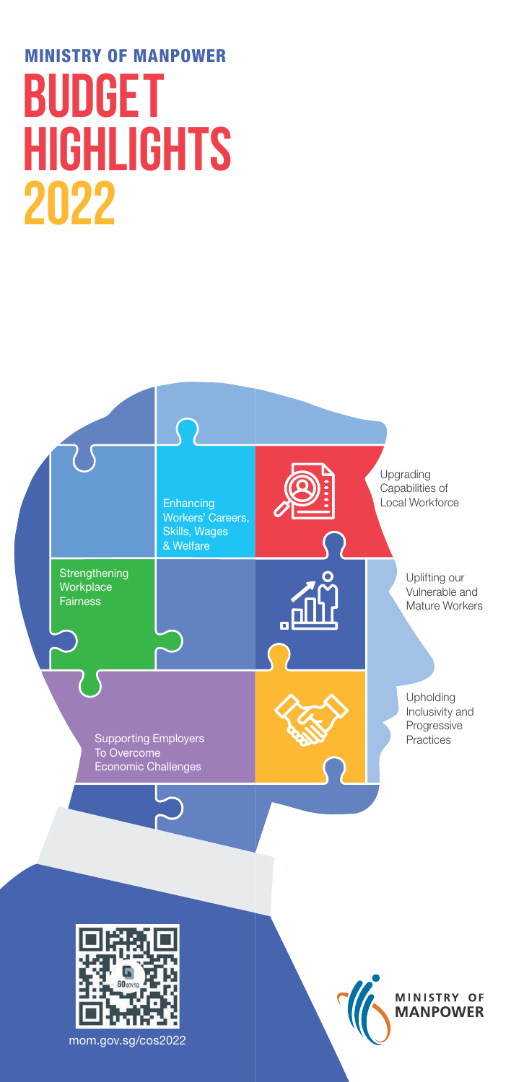# **2022** MINISTRY OF MANPOWER **BUDGET HIGHLIGHTS**

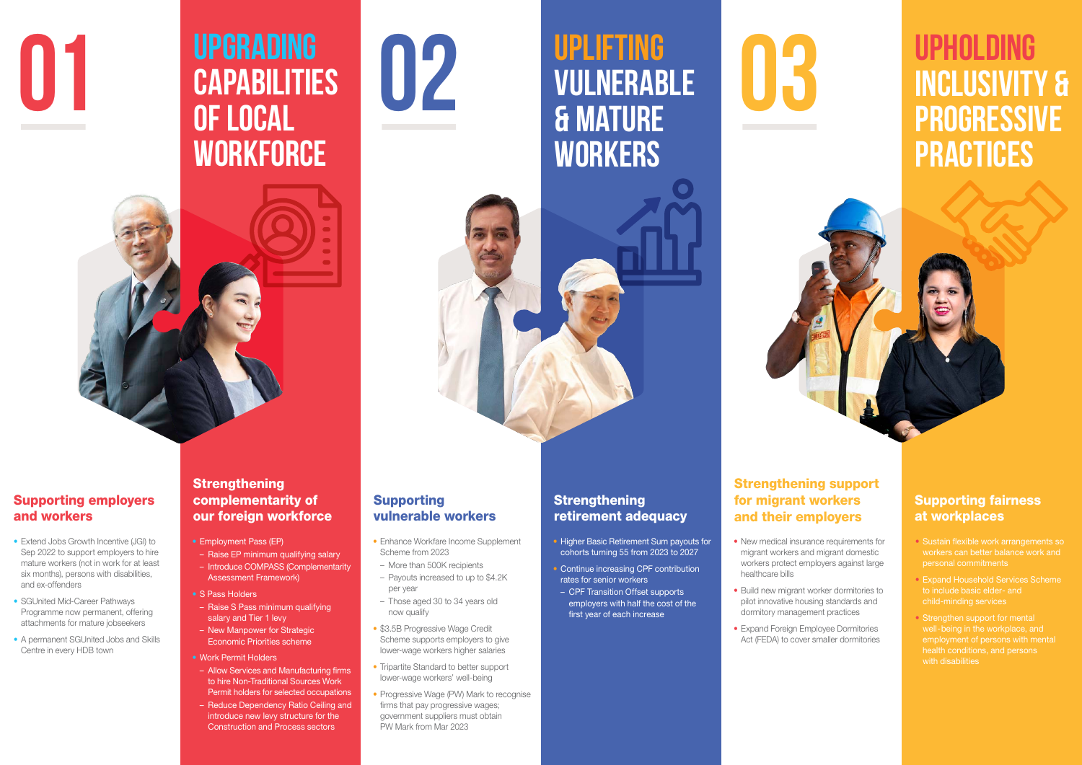

# **UPGRADING CAPABILITIES OF LOCAL WORKFORCE 01 DEPORADING**<br>**CAPABILITIES 02 UPLIFTING**<br>**CAPABILITIES 02 UPLIFTING**<br>**GELOCAL 8** MATURE

# **UPLIFTING VULNERABLE & MATURE WORKERS**





# **UPHOLDING INCLUSIVITY & PROGRESSIVE PRACTICES**

- Extend Jobs Growth Incentive (JGI) to Sep 2022 to support employers to hire mature workers (not in work for at least six months), persons with disabilities, and ex-offenders
- SGUnited Mid-Career Pathways Programme now permanent, offering attachments for mature jobseekers
- A permanent SGUnited Jobs and Skills Centre in every HDB town

## **Strengthening** complementarity of our foreign workforce

## Supporting employers and workers

- Employment Pass (EP)
- Raise EP minimum qualifying salary – Introduce COMPASS (Complementarity
- Assessment Framework)
- S Pass Holders – Raise S Pass minimum qualifying
- salary and Tier 1 levy – New Manpower for Strategic
- Economic Priorities scheme
- Work Permit Holders
- Allow Services and Manufacturing firms to hire Non-Traditional Sources Work Permit holders for selected occupations
- Reduce Dependency Ratio Ceiling and introduce new levy structure for the Construction and Process sectors

# Supporting vulnerable workers

- Enhance Workfare Income Supplement Scheme from 2023
- More than 500K recipients
- Payouts increased to up to \$4.2K per year
- Those aged 30 to 34 years old now qualify
- \$3.5B Progressive Wage Credit Scheme supports employers to give lower-wage workers higher salaries
- Tripartite Standard to better support lower-wage workers' well-being
- Progressive Wage (PW) Mark to recognise firms that pay progressive wages; government suppliers must obtain PW Mark from Mar 2023
- **Strengthening** retirement adequacy
- Higher Basic Retirement Sum payouts for cohorts turning 55 from 2023 to 2027
- Continue increasing CPF contribution rates for senior workers
- CPF Transition Offset supports employers with half the cost of the first year of each increase
- New medical insurance requirements for migrant workers and migrant domestic workers protect employers against large healthcare bills
- Build new migrant worker dormitories to pilot innovative housing standards and dormitory management practices
- Expand Foreign Employee Dormitories Act (FEDA) to cover smaller dormitories

# Strengthening support for migrant workers and their employers

## Supporting fairness at workplaces

- Sustain flexible work arrangements so workers can better balance work and personal commitments
- Expand Household Services Scheme to include basic elder- and child-minding services
- Strengthen support for mental employment of persons with mental health conditions, and persons with disabilities